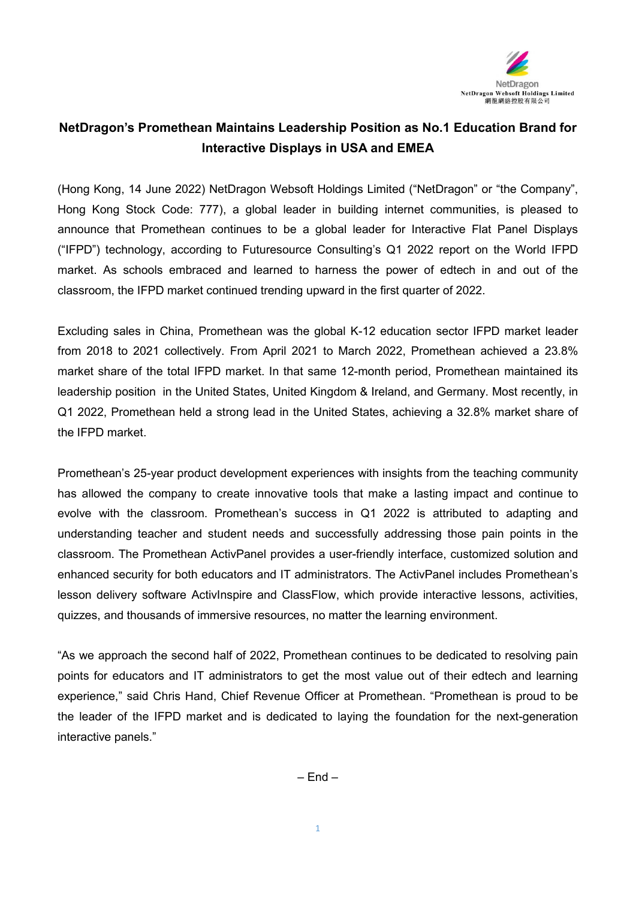

## **NetDragon's Promethean Maintains Leadership Position as No.1 Education Brand for Interactive Displays in USA and EMEA**

(Hong Kong, 14 June 2022) NetDragon Websoft Holdings Limited ("NetDragon" or "the Company", Hong Kong Stock Code: 777), a global leader in building internet communities, is pleased to announce that Promethean continues to be a global leader for Interactive Flat Panel Displays ("IFPD") technology, according to Futuresource Consulting's Q1 2022 report on the World IFPD market. As schools embraced and learned to harness the power of edtech in and out of the classroom, the IFPD market continued trending upward in the first quarter of 2022.

Excluding sales in China, Promethean was the global K-12 education sector IFPD market leader from 2018 to 2021 collectively. From April 2021 to March 2022, Promethean achieved a 23.8% market share of the total IFPD market. In that same 12-month period, Promethean maintained its leadership position in the United States, United Kingdom & Ireland, and Germany. Most recently, in Q1 2022, Promethean held a strong lead in the United States, achieving a 32.8% market share of the IFPD market.

Promethean's 25-year product development experiences with insights from the teaching community has allowed the company to create innovative tools that make a lasting impact and continue to evolve with the classroom. Promethean's success in Q1 2022 is attributed to adapting and understanding teacher and student needs and successfully addressing those pain points in the classroom. The Promethean [ActivPanel](https://www.prometheanworld.com/products/interactive-displays/activpanel/) provides a user-friendly interface, customized solution and enhanced security for both educators and IT administrators. The ActivPanel includes Promethean's lesson delivery software [ActivInspire](https://www.prometheanworld.com/products/software/activinspire/) and [ClassFlow,](https://www.prometheanworld.com/products/software/classflow/) which provide interactive lessons, activities, quizzes, and thousands of immersive resources, no matter the learning environment.

"As we approach the second half of 2022, Promethean continues to be dedicated to resolving pain points for educators and IT administrators to get the most value out of their edtech and learning experience," said Chris Hand, Chief Revenue Officer at Promethean. "Promethean is proud to be the leader of the IFPD market and is dedicated to laying the foundation for the next-generation interactive panels."

 $-$  Fnd  $-$